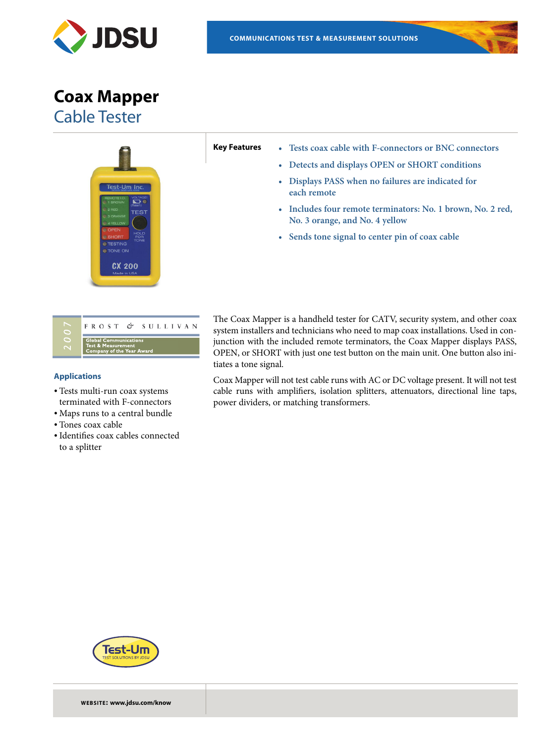

**Coax Mapper** Cable Tester



- **Key Features • Tests coax cable with F-connectors or BNC connectors**
	- **• Detects and displays OPEN or SHORT conditions**
	- **• Displays PASS when no failures are indicated for each remote**
	- **• Includes four remote terminators: No. 1 brown, No. 2 red, No. 3 orange, and No. 4 yellow**
	- **• Sends tone signal to center pin of coax cable**

| FROST & SULLIVAN                                                                           |
|--------------------------------------------------------------------------------------------|
| <b>Global Communications</b><br><b>Test &amp; Measurement</b><br>Company of the Year Award |

## **Applications**

- Tests multi-run coax systems terminated with F-connectors
- Maps runs to a central bundle
- Tones coax cable
- •Identifies coax cables connected to a splitter

The Coax Mapper is a handheld tester for CATV, security system, and other coax system installers and technicians who need to map coax installations. Used in conjunction with the included remote terminators, the Coax Mapper displays PASS, OPEN, or SHORT with just one test button on the main unit. One button also initiates a tone signal.

Coax Mapper will not test cable runs with AC or DC voltage present. It will not test cable runs with amplifiers, isolation splitters, attenuators, directional line taps, power dividers, or matching transformers.



**WEBSITE: www.jdsu.com/know**